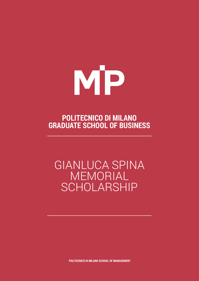

# **POLITECNICO DI MILANO GRADUATE SCHOOL OF BUSINESS**

# GIANLUCA SPINA MEMORIAL SCHOLARSHIP

**POLITECNICO DI MILANO SCHOOL OF MANAGEMENT**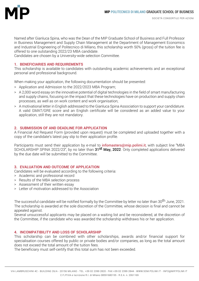

Named after Gianluca Spina, who was the Dean of the MIP Graduate School of Business and Full Professor in Business Management and Supply Chain Management at the Department of Management Economics and Industrial Engineering of Politecnico di Milano, this scholarship worth 50% (gross) of the tuition fee is offered to one outstanding 2022/23 MBA candidate.

Candidates are chosen by a University-wide selection Committee.

### **1. BENEFICIARIES AND REQUIREMENTS**

This scholarship is available to candidates with outstanding academic achievements and an exceptional personal and professional background.

When making your application, the following documentation should be presented:

- > Application and Admission to the 2022/2023 MBA Program;
- > A 2,000 word essay on the innovative potential of digital technologies in the field of smart manufacturing and supply chains, focusing on the impact that these technologies have on production and supply chain processes, as well as on work content and work organisation;
- > A motivational letter in English addressed to the Gianluca Spina Association to support your candidature. A valid GMAT/GRE score and an English certificate will be considered as an added value to your application, still they are not mandatory.

#### **2. SUBMISSION OF AND DEADLINE FOR APPLICATION**

A Financial Aid Request Form (provided upon request) must be completed and uploaded together with a copy of the candidate's latest pay slip to their application profile.

Participants must send their application by e-mail to *infomasters@mip.polimi.it*, with subject line "MBA SCHOLARSHIP SPINA 2022/23", by no later than 31<sup>st</sup> May, 2022. Only completed applications delivered by the due date will be submitted to the Committee.

#### **3. EVALUATION AND OUTCOME OF APPLICATION**

Candidates will be evaluated according to the following criteria:

- > Academic and professional record
- > Results of the MBA selection process
- > Assessment of their written essay
- > Letter of motivation addressed to the Association

The successful candidate will be notified formally by the Committee by letter no later than 30<sup>th</sup> June, 2021. The scholarship is awarded at the sole discretion of the Committee, whose decision is final and cannot be appealed against.

Several unsuccessful applicants may be placed on a waiting list and be reconsidered, at the discretion of the Committee, if the candidate who was awarded the scholarship withdraws his or her application.

#### **4. INCOMPATIBILITY AND LOSS OF SCHOLARSHIP**

This scholarship can be combined with other scholarships, awards and/or financial support for specialisation courses offered by public or private bodies and/or companies, as long as the total amount does not exceed the total amount of the tuition fees.

The beneficiary must self-certify that this total sum has not been exceeded.